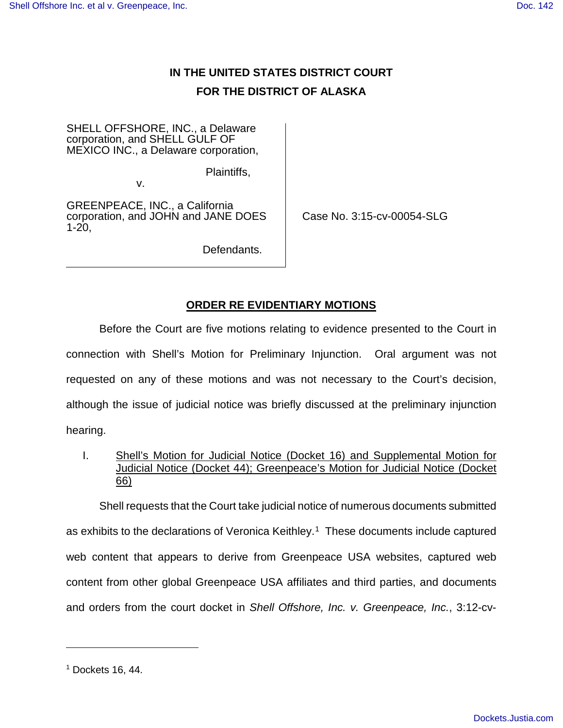## **IN THE UNITED STATES DISTRICT COURT FOR THE DISTRICT OF ALASKA**

SHELL OFFSHORE, INC., a Delaware corporation, and SHELL GULF OF MEXICO INC., a Delaware corporation,

Plaintiffs,

v.

GREENPEACE, INC., a California corporation, and JOHN and JANE DOES 1-20,

Case No. 3:15-cv-00054-SLG

Defendants.

## **ORDER RE EVIDENTIARY MOTIONS**

Before the Court are five motions relating to evidence presented to the Court in connection with Shell's Motion for Preliminary Injunction. Oral argument was not requested on any of these motions and was not necessary to the Court's decision, although the issue of judicial notice was briefly discussed at the preliminary injunction hearing.

I. Shell's Motion for Judicial Notice (Docket 16) and Supplemental Motion for Judicial Notice (Docket 44); Greenpeace's Motion for Judicial Notice (Docket 66)

Shell requests that the Court take judicial notice of numerous documents submitted as exhibits to the declarations of Veronica Keithley.<sup>[1](#page-0-0)</sup> These documents include captured web content that appears to derive from Greenpeace USA websites, captured web content from other global Greenpeace USA affiliates and third parties, and documents and orders from the court docket in Shell Offshore, Inc. v. Greenpeace, Inc., 3:12-cv-

1

<span id="page-0-0"></span> $<sup>1</sup>$  Dockets 16, 44.</sup>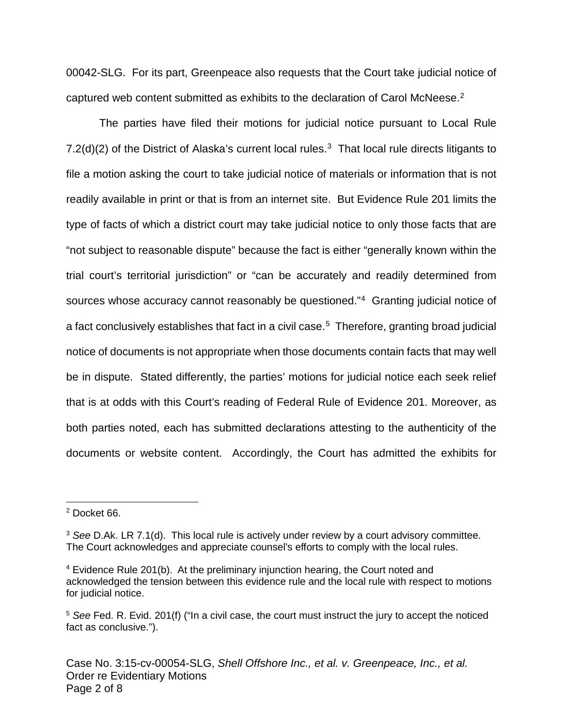00042-SLG. For its part, Greenpeace also requests that the Court take judicial notice of captured web content submitted as exhibits to the declaration of Carol McNeese.<sup>[2](#page-1-0)</sup>

The parties have filed their motions for judicial notice pursuant to Local Rule 7.2(d)(2) of the District of Alaska's current local rules.<sup>[3](#page-1-1)</sup> That local rule directs litigants to file a motion asking the court to take judicial notice of materials or information that is not readily available in print or that is from an internet site. But Evidence Rule 201 limits the type of facts of which a district court may take judicial notice to only those facts that are "not subject to reasonable dispute" because the fact is either "generally known within the trial court's territorial jurisdiction" or "can be accurately and readily determined from sources whose accuracy cannot reasonably be questioned."<sup>[4](#page-1-2)</sup> Granting judicial notice of a fact conclusively establishes that fact in a civil case.<sup>[5](#page-1-3)</sup> Therefore, granting broad judicial notice of documents is not appropriate when those documents contain facts that may well be in dispute. Stated differently, the parties' motions for judicial notice each seek relief that is at odds with this Court's reading of Federal Rule of Evidence 201. Moreover, as both parties noted, each has submitted declarations attesting to the authenticity of the documents or website content. Accordingly, the Court has admitted the exhibits for

 $\overline{a}$ 

<span id="page-1-0"></span><sup>2</sup> Docket 66.

<span id="page-1-1"></span> $3$  See D.Ak. LR 7.1(d). This local rule is actively under review by a court advisory committee. The Court acknowledges and appreciate counsel's efforts to comply with the local rules.

<span id="page-1-2"></span><sup>4</sup> Evidence Rule 201(b). At the preliminary injunction hearing, the Court noted and acknowledged the tension between this evidence rule and the local rule with respect to motions for judicial notice.

<span id="page-1-3"></span><sup>&</sup>lt;sup>5</sup> See Fed. R. Evid. 201(f) ("In a civil case, the court must instruct the jury to accept the noticed fact as conclusive.").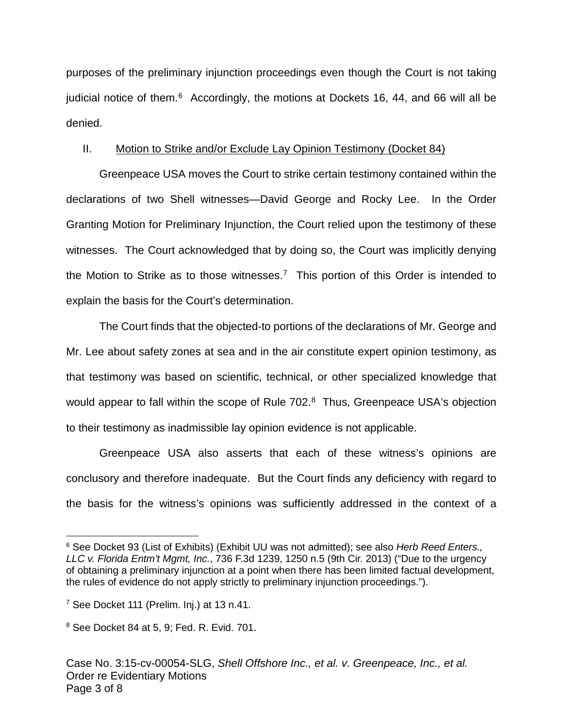purposes of the preliminary injunction proceedings even though the Court is not taking judicial notice of them.<sup>[6](#page-2-0)</sup> Accordingly, the motions at Dockets 16, 44, and 66 will all be denied.

## II. Motion to Strike and/or Exclude Lay Opinion Testimony (Docket 84)

Greenpeace USA moves the Court to strike certain testimony contained within the declarations of two Shell witnesses—David George and Rocky Lee. In the Order Granting Motion for Preliminary Injunction, the Court relied upon the testimony of these witnesses. The Court acknowledged that by doing so, the Court was implicitly denying the Motion to Strike as to those witnesses.<sup>[7](#page-2-1)</sup> This portion of this Order is intended to explain the basis for the Court's determination.

The Court finds that the objected-to portions of the declarations of Mr. George and Mr. Lee about safety zones at sea and in the air constitute expert opinion testimony, as that testimony was based on scientific, technical, or other specialized knowledge that would appear to fall within the scope of Rule 702.<sup>[8](#page-2-2)</sup> Thus, Greenpeace USA's objection to their testimony as inadmissible lay opinion evidence is not applicable.

Greenpeace USA also asserts that each of these witness's opinions are conclusory and therefore inadequate. But the Court finds any deficiency with regard to the basis for the witness's opinions was sufficiently addressed in the context of a

 $\overline{a}$ 

<span id="page-2-0"></span><sup>&</sup>lt;sup>6</sup> See Docket 93 (List of Exhibits) (Exhibit UU was not admitted); see also Herb Reed Enters., LLC v. Florida Entm't Mgmt, Inc., 736 F.3d 1239, 1250 n.5 (9th Cir. 2013) ("Due to the urgency of obtaining a preliminary injunction at a point when there has been limited factual development, the rules of evidence do not apply strictly to preliminary injunction proceedings.").

<span id="page-2-1"></span> $7$  See Docket 111 (Prelim. Inj.) at 13 n.41.

<span id="page-2-2"></span><sup>8</sup> See Docket 84 at 5, 9; Fed. R. Evid. 701.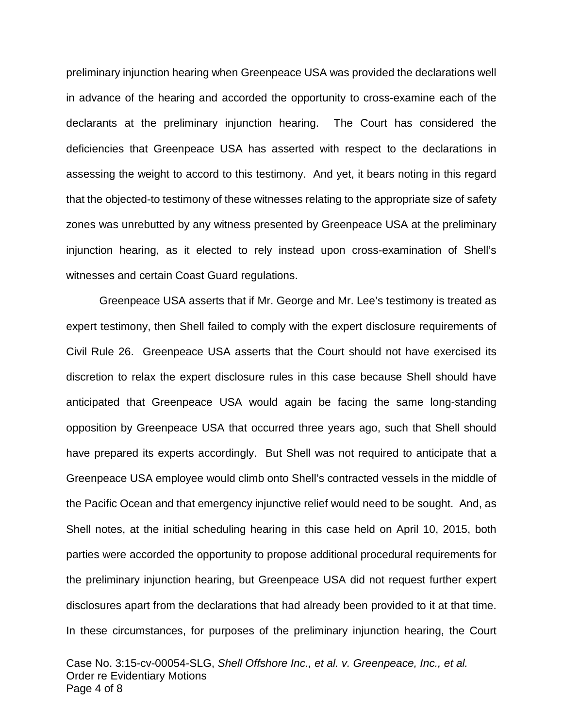preliminary injunction hearing when Greenpeace USA was provided the declarations well in advance of the hearing and accorded the opportunity to cross-examine each of the declarants at the preliminary injunction hearing. The Court has considered the deficiencies that Greenpeace USA has asserted with respect to the declarations in assessing the weight to accord to this testimony. And yet, it bears noting in this regard that the objected-to testimony of these witnesses relating to the appropriate size of safety zones was unrebutted by any witness presented by Greenpeace USA at the preliminary injunction hearing, as it elected to rely instead upon cross-examination of Shell's witnesses and certain Coast Guard regulations.

Greenpeace USA asserts that if Mr. George and Mr. Lee's testimony is treated as expert testimony, then Shell failed to comply with the expert disclosure requirements of Civil Rule 26. Greenpeace USA asserts that the Court should not have exercised its discretion to relax the expert disclosure rules in this case because Shell should have anticipated that Greenpeace USA would again be facing the same long-standing opposition by Greenpeace USA that occurred three years ago, such that Shell should have prepared its experts accordingly. But Shell was not required to anticipate that a Greenpeace USA employee would climb onto Shell's contracted vessels in the middle of the Pacific Ocean and that emergency injunctive relief would need to be sought. And, as Shell notes, at the initial scheduling hearing in this case held on April 10, 2015, both parties were accorded the opportunity to propose additional procedural requirements for the preliminary injunction hearing, but Greenpeace USA did not request further expert disclosures apart from the declarations that had already been provided to it at that time. In these circumstances, for purposes of the preliminary injunction hearing, the Court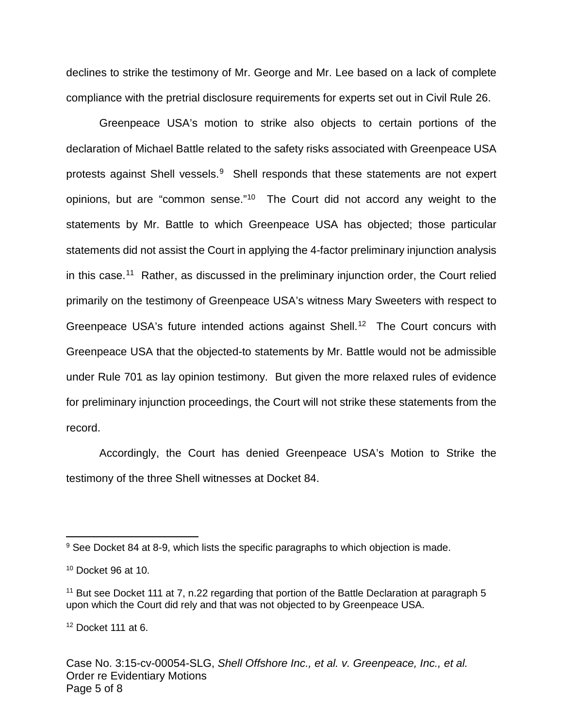declines to strike the testimony of Mr. George and Mr. Lee based on a lack of complete compliance with the pretrial disclosure requirements for experts set out in Civil Rule 26.

Greenpeace USA's motion to strike also objects to certain portions of the declaration of Michael Battle related to the safety risks associated with Greenpeace USA protests against Shell vessels.<sup>[9](#page-4-0)</sup> Shell responds that these statements are not expert opinions, but are "common sense."<sup>[10](#page-4-1)</sup> The Court did not accord any weight to the statements by Mr. Battle to which Greenpeace USA has objected; those particular statements did not assist the Court in applying the 4-factor preliminary injunction analysis in this case.<sup>[11](#page-4-2)</sup> Rather, as discussed in the preliminary injunction order, the Court relied primarily on the testimony of Greenpeace USA's witness Mary Sweeters with respect to Greenpeace USA's future intended actions against Shell.<sup>[12](#page-4-3)</sup> The Court concurs with Greenpeace USA that the objected-to statements by Mr. Battle would not be admissible under Rule 701 as lay opinion testimony. But given the more relaxed rules of evidence for preliminary injunction proceedings, the Court will not strike these statements from the record.

Accordingly, the Court has denied Greenpeace USA's Motion to Strike the testimony of the three Shell witnesses at Docket 84.

 $\overline{a}$ 

<span id="page-4-3"></span> $12$  Docket 111 at 6.

<span id="page-4-0"></span><sup>&</sup>lt;sup>9</sup> See Docket 84 at 8-9, which lists the specific paragraphs to which objection is made.

<span id="page-4-1"></span> $10$  Docket 96 at 10.

<span id="page-4-2"></span> $11$  But see Docket 111 at 7, n.22 regarding that portion of the Battle Declaration at paragraph 5 upon which the Court did rely and that was not objected to by Greenpeace USA.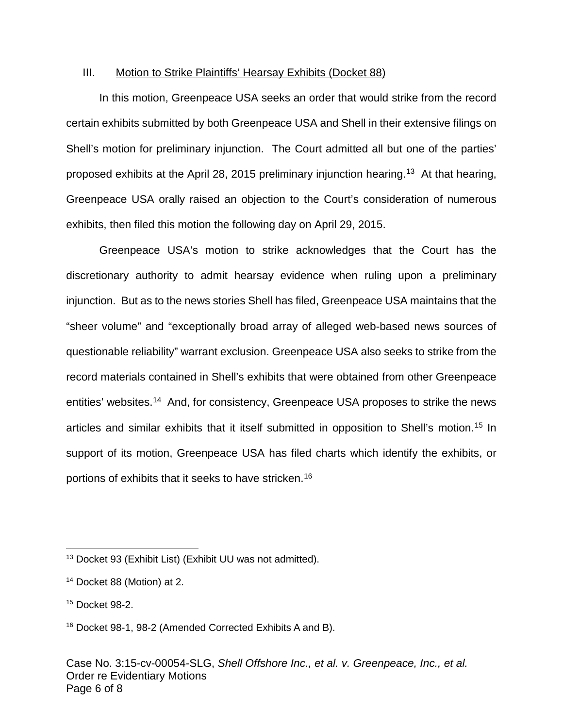## III. Motion to Strike Plaintiffs' Hearsay Exhibits (Docket 88)

In this motion, Greenpeace USA seeks an order that would strike from the record certain exhibits submitted by both Greenpeace USA and Shell in their extensive filings on Shell's motion for preliminary injunction. The Court admitted all but one of the parties' proposed exhibits at the April 28, 2015 preliminary injunction hearing.<sup>[13](#page-5-0)</sup> At that hearing, Greenpeace USA orally raised an objection to the Court's consideration of numerous exhibits, then filed this motion the following day on April 29, 2015.

Greenpeace USA's motion to strike acknowledges that the Court has the discretionary authority to admit hearsay evidence when ruling upon a preliminary injunction. But as to the news stories Shell has filed, Greenpeace USA maintains that the "sheer volume" and "exceptionally broad array of alleged web-based news sources of questionable reliability" warrant exclusion. Greenpeace USA also seeks to strike from the record materials contained in Shell's exhibits that were obtained from other Greenpeace entities' websites.<sup>[14](#page-5-1)</sup> And, for consistency, Greenpeace USA proposes to strike the news articles and similar exhibits that it itself submitted in opposition to Shell's motion. [15](#page-5-2) In support of its motion, Greenpeace USA has filed charts which identify the exhibits, or portions of exhibits that it seeks to have stricken.[16](#page-5-3)

1

<span id="page-5-0"></span><sup>&</sup>lt;sup>13</sup> Docket 93 (Exhibit List) (Exhibit UU was not admitted).

<span id="page-5-1"></span><sup>14</sup> Docket 88 (Motion) at 2.

<span id="page-5-2"></span><sup>15</sup> Docket 98-2.

<span id="page-5-3"></span><sup>16</sup> Docket 98-1, 98-2 (Amended Corrected Exhibits A and B).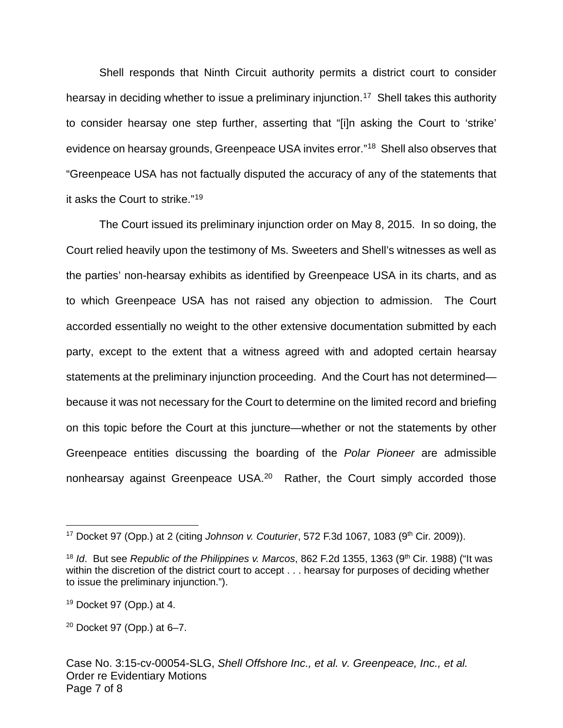Shell responds that Ninth Circuit authority permits a district court to consider hearsay in deciding whether to issue a preliminary injunction.<sup>[17](#page-6-0)</sup> Shell takes this authority to consider hearsay one step further, asserting that "[i]n asking the Court to 'strike' evidence on hearsay grounds, Greenpeace USA invites error."<sup>[18](#page-6-1)</sup> Shell also observes that "Greenpeace USA has not factually disputed the accuracy of any of the statements that it asks the Court to strike."[19](#page-6-2)

The Court issued its preliminary injunction order on May 8, 2015. In so doing, the Court relied heavily upon the testimony of Ms. Sweeters and Shell's witnesses as well as the parties' non-hearsay exhibits as identified by Greenpeace USA in its charts, and as to which Greenpeace USA has not raised any objection to admission. The Court accorded essentially no weight to the other extensive documentation submitted by each party, except to the extent that a witness agreed with and adopted certain hearsay statements at the preliminary injunction proceeding. And the Court has not determined because it was not necessary for the Court to determine on the limited record and briefing on this topic before the Court at this juncture—whether or not the statements by other Greenpeace entities discussing the boarding of the Polar Pioneer are admissible nonhearsay against Greenpeace USA.<sup>[20](#page-6-3)</sup> Rather, the Court simply accorded those

 $\overline{a}$ 

<span id="page-6-0"></span><sup>&</sup>lt;sup>17</sup> Docket 97 (Opp.) at 2 (citing Johnson v. Couturier, 572 F.3d 1067, 1083 (9<sup>th</sup> Cir. 2009)).

<span id="page-6-1"></span><sup>&</sup>lt;sup>18</sup> Id. But see Republic of the Philippines v. Marcos, 862 F.2d 1355, 1363 (9<sup>th</sup> Cir. 1988) ("It was within the discretion of the district court to accept . . . hearsay for purposes of deciding whether to issue the preliminary injunction.").

<span id="page-6-2"></span> $19$  Docket 97 (Opp.) at 4.

<span id="page-6-3"></span> $20$  Docket 97 (Opp.) at 6-7.